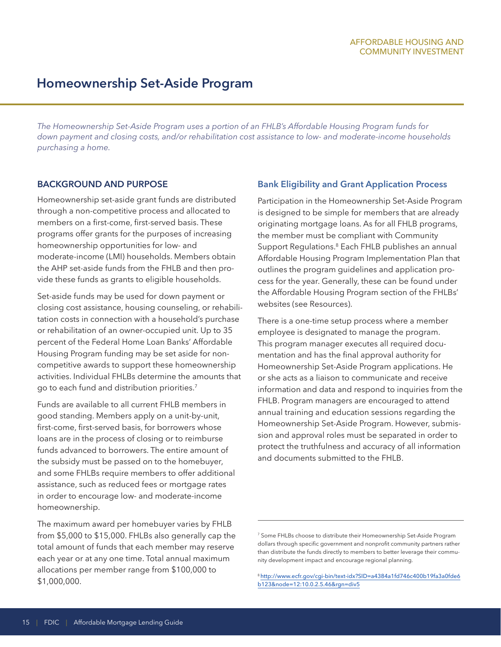# **Homeownership Set-Aside Program**

*The Homeownership Set-Aside Program uses a portion of an FHLB's Affordable Housing Program funds for down payment and closing costs, and/or rehabilitation cost assistance to low- and moderate-income households purchasing a home.*

### **BACKGROUND AND PURPOSE**

Homeownership set-aside grant funds are distributed through a non-competitive process and allocated to members on a first-come, first-served basis. These programs offer grants for the purposes of increasing homeownership opportunities for low- and moderate-income (LMI) households. Members obtain the AHP set-aside funds from the FHLB and then provide these funds as grants to eligible households.

Set-aside funds may be used for down payment or closing cost assistance, housing counseling, or rehabilitation costs in connection with a household's purchase or rehabilitation of an owner-occupied unit. Up to 35 percent of the Federal Home Loan Banks' Affordable Housing Program funding may be set aside for noncompetitive awards to support these homeownership activities. Individual FHLBs determine the amounts that go to each fund and distribution priorities.7

Funds are available to all current FHLB members in good standing. Members apply on a unit-by-unit, first-come, first-served basis, for borrowers whose loans are in the process of closing or to reimburse funds advanced to borrowers. The entire amount of the subsidy must be passed on to the homebuyer, and some FHLBs require members to offer additional assistance, such as reduced fees or mortgage rates in order to encourage low- and moderate-income homeownership.

The maximum award per homebuyer varies by FHLB from \$5,000 to \$15,000. FHLBs also generally cap the total amount of funds that each member may reserve each year or at any one time. Total annual maximum allocations per member range from \$100,000 to \$1,000,000.

### **Bank Eligibility and Grant Application Process**

Participation in the Homeownership Set-Aside Program is designed to be simple for members that are already originating mortgage loans. As for all FHLB programs, the member must be compliant with Community Support Regulations.8 Each FHLB publishes an annual Affordable Housing Program Implementation Plan that outlines the program guidelines and application process for the year. Generally, these can be found under the Affordable Housing Program section of the FHLBs' websites (see Resources).

There is a one-time setup process where a member employee is designated to manage the program. This program manager executes all required documentation and has the final approval authority for Homeownership Set-Aside Program applications. He or she acts as a liaison to communicate and receive information and data and respond to inquiries from the FHLB. Program managers are encouraged to attend annual training and education sessions regarding the Homeownership Set-Aside Program. However, submission and approval roles must be separated in order to protect the truthfulness and accuracy of all information and documents submitted to the FHLB.

<sup>7</sup> Some FHLBs choose to distribute their Homeownership Set-Aside Program dollars through specific government and nonprofit community partners rather than distribute the funds directly to members to better leverage their community development impact and encourage regional planning.

<sup>8</sup>[http://www.ecfr.gov/cgi-bin/text-idx?SID=a4384a1fd746c400b19fa3a0fde6](http://www.ecfr.gov/cgi-bin/text-idx?SID=a4384a1fd746c400b19fa3a0fde6b123&node=12:10.0.2.5.46&rgn=di) [b123&node=12:10.0.2.5.46&rgn=div5](http://www.ecfr.gov/cgi-bin/text-idx?SID=a4384a1fd746c400b19fa3a0fde6b123&node=12:10.0.2.5.46&rgn=di)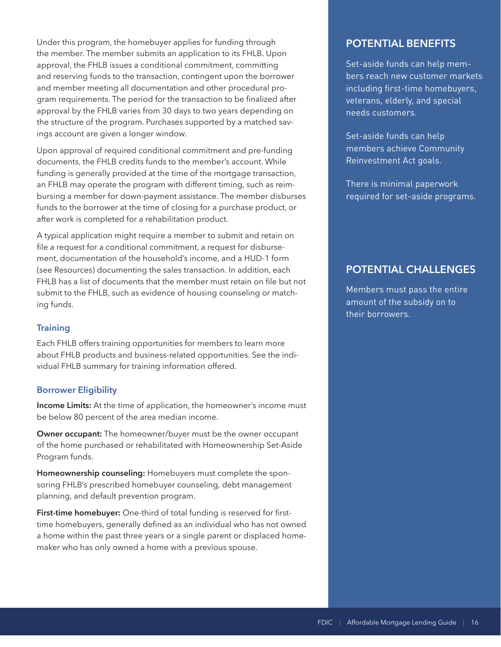Under this program, the homebuyer applies for funding through the member. The member submits an application to its FHLB. Upon approval, the FHLB issues a conditional commitment, committing and reserving funds to the transaction, contingent upon the borrower and member meeting all documentation and other procedural program requirements. The period for the transaction to be finalized after approval by the FHLB varies from 30 days to two years depending on the structure of the program. Purchases supported by a matched savings account are given a longer window.

Upon approval of required conditional commitment and pre-funding documents, the FHLB credits funds to the member's account. While funding is generally provided at the time of the mortgage transaction, an FHLB may operate the program with different timing, such as reimbursing a member for down-payment assistance. The member disburses funds to the borrower at the time of closing for a purchase product, or after work is completed for a rehabilitation product.

A typical application might require a member to submit and retain on file a request for a conditional commitment, a request for disbursement, documentation of the household's income, and a HUD-1 form (see Resources) documenting the sales transaction. In addition, each FHLB has a list of documents that the member must retain on file but not submit to the FHLB, such as evidence of housing counseling or matching funds.

### **Training**

Each FHLB offers training opportunities for members to learn more about FHLB products and business-related opportunities. See the individual FHLB summary for training information offered.

### **Borrower Eligibility**

**Income Limits:** At the time of application, the homeowner's income must be below 80 percent of the area median income.

**Owner occupant:** The homeowner/buyer must be the owner occupant of the home purchased or rehabilitated with Homeownership Set-Aside Program funds.

**Homeownership counseling:** Homebuyers must complete the sponsoring FHLB's prescribed homebuyer counseling, debt management planning, and default prevention program.

**First-time homebuyer:** One-third of total funding is reserved for firsttime homebuyers, generally defined as an individual who has not owned a home within the past three years or a single parent or displaced homemaker who has only owned a home with a previous spouse.

## **POTENTIAL BENEFITS**

Set-aside funds can help members reach new customer markets including first-time homebuyers, veterans, elderly, and special needs customers.

Set-aside funds can help members achieve Community Reinvestment Act goals.

There is minimal paperwork required for set-aside programs.

# **POTENTIAL CHALLENGES**

Members must pass the entire amount of the subsidy on to their borrowers.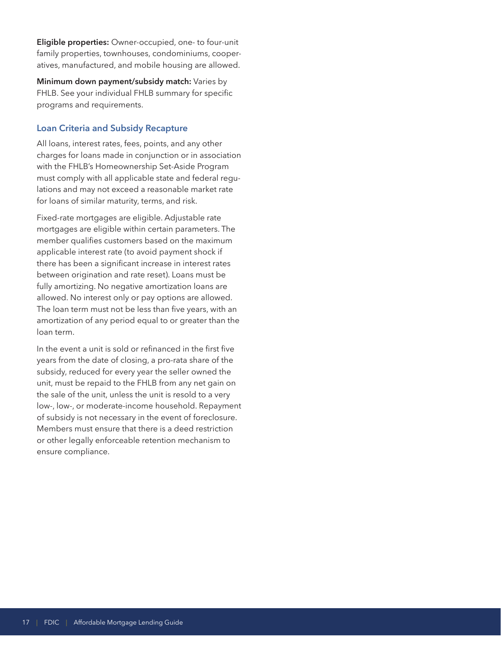**Eligible properties:** Owner-occupied, one- to four-unit family properties, townhouses, condominiums, cooperatives, manufactured, and mobile housing are allowed.

**Minimum down payment/subsidy match:** Varies by FHLB. See your individual FHLB summary for specific programs and requirements.

### **Loan Criteria and Subsidy Recapture**

All loans, interest rates, fees, points, and any other charges for loans made in conjunction or in association with the FHLB's Homeownership Set-Aside Program must comply with all applicable state and federal regulations and may not exceed a reasonable market rate for loans of similar maturity, terms, and risk.

Fixed-rate mortgages are eligible. Adjustable rate mortgages are eligible within certain parameters. The member qualifies customers based on the maximum applicable interest rate (to avoid payment shock if there has been a significant increase in interest rates between origination and rate reset). Loans must be fully amortizing. No negative amortization loans are allowed. No interest only or pay options are allowed. The loan term must not be less than five years, with an amortization of any period equal to or greater than the loan term.

In the event a unit is sold or refinanced in the first five years from the date of closing, a pro-rata share of the subsidy, reduced for every year the seller owned the unit, must be repaid to the FHLB from any net gain on the sale of the unit, unless the unit is resold to a very low-, low-, or moderate-income household. Repayment of subsidy is not necessary in the event of foreclosure. Members must ensure that there is a deed restriction or other legally enforceable retention mechanism to ensure compliance.